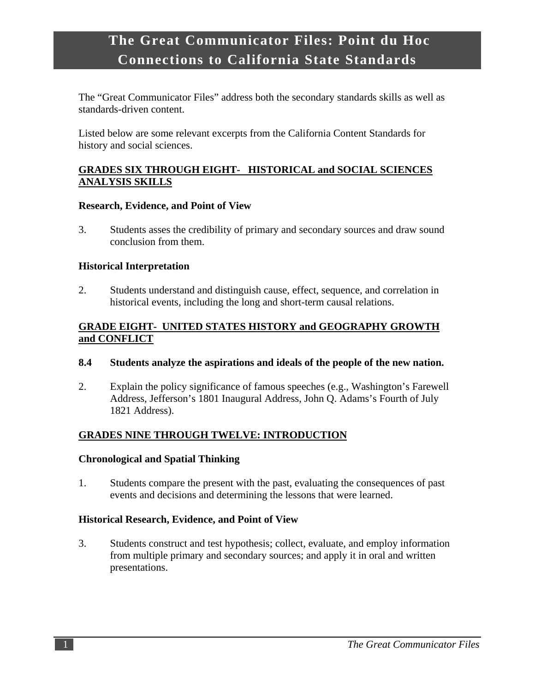# **.The Great Communicator Files: Point du Hoc Connections to California State Standards**

The "Great Communicator Files" address both the secondary standards skills as well as standards-driven content.

Listed below are some relevant excerpts from the California Content Standards for history and social sciences.

## **GRADES SIX THROUGH EIGHT- HISTORICAL and SOCIAL SCIENCES ANALYSIS SKILLS**

#### **Research, Evidence, and Point of View**

3. Students asses the credibility of primary and secondary sources and draw sound conclusion from them.

## **Historical Interpretation**

2. Students understand and distinguish cause, effect, sequence, and correlation in historical events, including the long and short-term causal relations.

## **GRADE EIGHT- UNITED STATES HISTORY and GEOGRAPHY GROWTH and CONFLICT**

#### **8.4 Students analyze the aspirations and ideals of the people of the new nation.**

2. Explain the policy significance of famous speeches (e.g., Washington's Farewell Address, Jefferson's 1801 Inaugural Address, John Q. Adams's Fourth of July 1821 Address).

# **GRADES NINE THROUGH TWELVE: INTRODUCTION**

## **Chronological and Spatial Thinking**

1. Students compare the present with the past, evaluating the consequences of past events and decisions and determining the lessons that were learned.

## **Historical Research, Evidence, and Point of View**

3. Students construct and test hypothesis; collect, evaluate, and employ information from multiple primary and secondary sources; and apply it in oral and written presentations.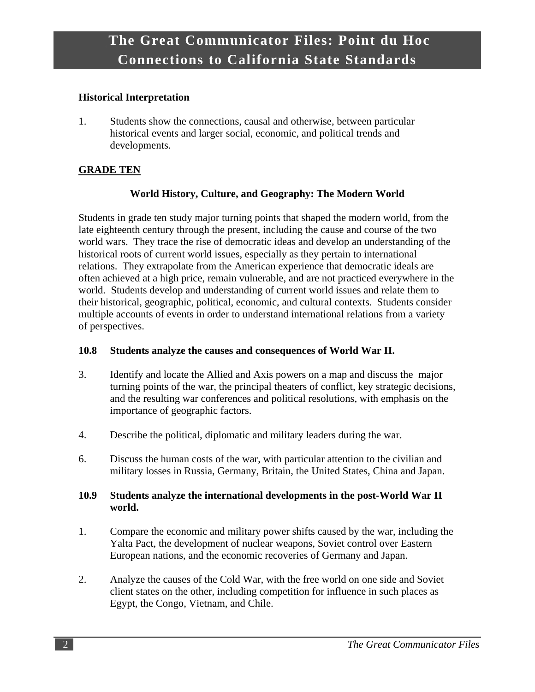#### **Historical Interpretation**

1. Students show the connections, causal and otherwise, between particular historical events and larger social, economic, and political trends and developments.

## **GRADE TEN**

# **World History, Culture, and Geography: The Modern World**

Students in grade ten study major turning points that shaped the modern world, from the late eighteenth century through the present, including the cause and course of the two world wars. They trace the rise of democratic ideas and develop an understanding of the historical roots of current world issues, especially as they pertain to international relations. They extrapolate from the American experience that democratic ideals are often achieved at a high price, remain vulnerable, and are not practiced everywhere in the world. Students develop and understanding of current world issues and relate them to their historical, geographic, political, economic, and cultural contexts. Students consider multiple accounts of events in order to understand international relations from a variety of perspectives.

#### **10.8 Students analyze the causes and consequences of World War II.**

- 3. Identify and locate the Allied and Axis powers on a map and discuss the major turning points of the war, the principal theaters of conflict, key strategic decisions, and the resulting war conferences and political resolutions, with emphasis on the importance of geographic factors.
- 4. Describe the political, diplomatic and military leaders during the war.
- 6. Discuss the human costs of the war, with particular attention to the civilian and military losses in Russia, Germany, Britain, the United States, China and Japan.

#### **10.9 Students analyze the international developments in the post-World War II world.**

- 1. Compare the economic and military power shifts caused by the war, including the Yalta Pact, the development of nuclear weapons, Soviet control over Eastern European nations, and the economic recoveries of Germany and Japan.
- 2. Analyze the causes of the Cold War, with the free world on one side and Soviet client states on the other, including competition for influence in such places as Egypt, the Congo, Vietnam, and Chile.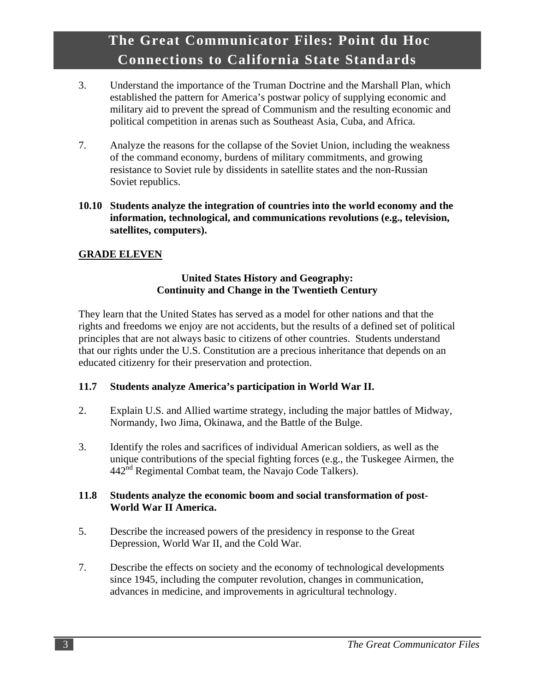# **.The Great Communicator Files: Point du Hoc Connections to California State Standards**

- 3. Understand the importance of the Truman Doctrine and the Marshall Plan, which established the pattern for America's postwar policy of supplying economic and military aid to prevent the spread of Communism and the resulting economic and political competition in arenas such as Southeast Asia, Cuba, and Africa.
- 7. Analyze the reasons for the collapse of the Soviet Union, including the weakness of the command economy, burdens of military commitments, and growing resistance to Soviet rule by dissidents in satellite states and the non-Russian Soviet republics.
- **10.10 Students analyze the integration of countries into the world economy and the information, technological, and communications revolutions (e.g., television, satellites, computers).**

## **GRADE ELEVEN**

#### **United States History and Geography: Continuity and Change in the Twentieth Century**

They learn that the United States has served as a model for other nations and that the rights and freedoms we enjoy are not accidents, but the results of a defined set of political principles that are not always basic to citizens of other countries. Students understand that our rights under the U.S. Constitution are a precious inheritance that depends on an educated citizenry for their preservation and protection.

#### **11.7 Students analyze America's participation in World War II.**

- 2. Explain U.S. and Allied wartime strategy, including the major battles of Midway, Normandy, Iwo Jima, Okinawa, and the Battle of the Bulge.
- 3. Identify the roles and sacrifices of individual American soldiers, as well as the unique contributions of the special fighting forces (e.g., the Tuskegee Airmen, the  $442<sup>nd</sup>$  Regimental Combat team, the Navajo Code Talkers).

#### **11.8 Students analyze the economic boom and social transformation of post-World War II America.**

- 5. Describe the increased powers of the presidency in response to the Great Depression, World War II, and the Cold War.
- 7. Describe the effects on society and the economy of technological developments since 1945, including the computer revolution, changes in communication, advances in medicine, and improvements in agricultural technology.